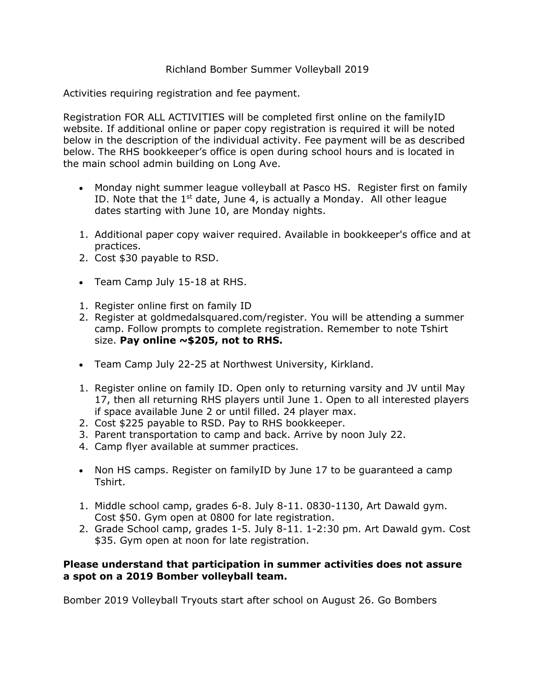## Richland Bomber Summer Volleyball 2019

Activities requiring registration and fee payment.

Registration FOR ALL ACTIVITIES will be completed first online on the familyID website. If additional online or paper copy registration is required it will be noted below in the description of the individual activity. Fee payment will be as described below. The RHS bookkeeper's office is open during school hours and is located in the main school admin building on Long Ave.

- Monday night summer league volleyball at Pasco HS. Register first on family ID. Note that the  $1<sup>st</sup>$  date, June 4, is actually a Monday. All other league dates starting with June 10, are Monday nights.
- 1. Additional paper copy waiver required. Available in bookkeeper's office and at practices.
- 2. Cost \$30 payable to RSD.
- Team Camp July 15-18 at RHS.
- 1. Register online first on family ID
- 2. Register at goldmedalsquared.com/register. You will be attending a summer camp. Follow prompts to complete registration. Remember to note Tshirt size. **Pay online ~\$205, not to RHS.**
- Team Camp July 22-25 at Northwest University, Kirkland.
- 1. Register online on family ID. Open only to returning varsity and JV until May 17, then all returning RHS players until June 1. Open to all interested players if space available June 2 or until filled. 24 player max.
- 2. Cost \$225 payable to RSD. Pay to RHS bookkeeper.
- 3. Parent transportation to camp and back. Arrive by noon July 22.
- 4. Camp flyer available at summer practices.
- Non HS camps. Register on familyID by June 17 to be guaranteed a camp Tshirt.
- 1. Middle school camp, grades 6-8. July 8-11. 0830-1130, Art Dawald gym. Cost \$50. Gym open at 0800 for late registration.
- 2. Grade School camp, grades 1-5. July 8-11. 1-2:30 pm. Art Dawald gym. Cost \$35. Gym open at noon for late registration.

## **Please understand that participation in summer activities does not assure a spot on a 2019 Bomber volleyball team.**

Bomber 2019 Volleyball Tryouts start after school on August 26. Go Bombers